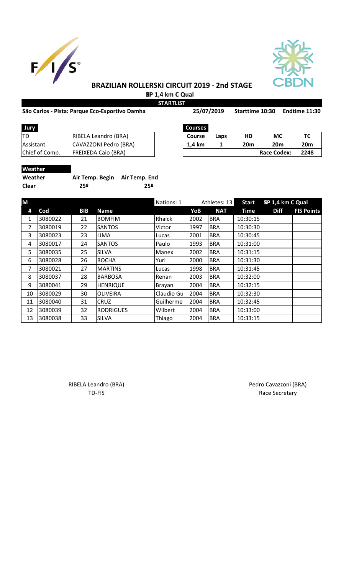



# **BRAZILIAN ROLLERSKI CIRCUIT 2019 - 2nd STAGE SP 1,4 km C Qual**

**STARTLIST**

# São Carlos - Pista: Parque Eco-Esportivo Damha **Sanda Eco-Esportivo Damha** 25/07/2019 Starttime 10:30 Endtime 1

| 25/07/2019 |      | <b>Starttime 10:30</b> |     | Endtime 11:30 |
|------------|------|------------------------|-----|---------------|
| Courses    |      |                        |     |               |
| Course     | Laps | НD                     | MC. | ТC            |

| Jury             |                            | <b>Courses</b> |      |                 |                 |     |
|------------------|----------------------------|----------------|------|-----------------|-----------------|-----|
| <b>ITD</b>       | RIBELA Leandro (BRA)       | <b>Course</b>  | Laps | HD              | МC              | тс  |
| <b>Assistant</b> | CAVAZZONI Pedro (BRA)      | 1.4 km         |      | 20 <sub>m</sub> | 20 <sub>m</sub> | 20n |
| Chief of Comp.   | <b>FREIXEDA Caio (BRA)</b> |                |      |                 | Race Codex:     | 224 |

| TD             | RIBELA Leandro (BRA)       | Course | Laps | HD              | МC              | тс   |
|----------------|----------------------------|--------|------|-----------------|-----------------|------|
| Assistant      | CAVAZZONI Pedro (BRA)      | 1.4 km |      | 20 <sub>m</sub> | 20 <sub>m</sub> | 20m  |
| Chief of Comp. | <b>FREIXEDA Caio (BRA)</b> |        |      |                 | Race Codex:     | 2248 |
|                |                            |        |      |                 |                 |      |

# **Weather**

| Weather      | Air Temp. Begin Air Temp. End |     |
|--------------|-------------------------------|-----|
| <b>Clear</b> | 25º                           | 25º |

| M              |         |            |                  | Nations: 1    |      | Athletes: 13 | <b>Start</b> | SP 1,4 km C Qual |                   |
|----------------|---------|------------|------------------|---------------|------|--------------|--------------|------------------|-------------------|
| #              | Cod     | <b>BIB</b> | <b>Name</b>      |               | YoB  | <b>NAT</b>   | <b>Time</b>  | <b>Diff</b>      | <b>FIS Points</b> |
| 1              | 3080022 | 21         | <b>BOMFIM</b>    | Rhaick        | 2002 | <b>BRA</b>   | 10:30:15     |                  |                   |
| $\overline{2}$ | 3080019 | 22         | <b>SANTOS</b>    | Victor        | 1997 | <b>BRA</b>   | 10:30:30     |                  |                   |
| 3              | 3080023 | 23         | <b>LIMA</b>      | Lucas         | 2001 | <b>BRA</b>   | 10:30:45     |                  |                   |
| 4              | 3080017 | 24         | <b>SANTOS</b>    | Paulo         | 1993 | <b>BRA</b>   | 10:31:00     |                  |                   |
| 5              | 3080035 | 25         | <b>SILVA</b>     | Manex         | 2002 | <b>BRA</b>   | 10:31:15     |                  |                   |
| 6              | 3080028 | 26         | <b>ROCHA</b>     | Yuri          | 2000 | <b>BRA</b>   | 10:31:30     |                  |                   |
| 7              | 3080021 | 27         | <b>MARTINS</b>   | Lucas         | 1998 | <b>BRA</b>   | 10:31:45     |                  |                   |
| 8              | 3080037 | 28         | <b>BARBOSA</b>   | Renan         | 2003 | <b>BRA</b>   | 10:32:00     |                  |                   |
| 9              | 3080041 | 29         | <b>HENRIQUE</b>  | <b>Brayan</b> | 2004 | <b>BRA</b>   | 10:32:15     |                  |                   |
| 10             | 3080029 | 30         | <b>OLIVEIRA</b>  | Claudio Gu    | 2004 | <b>BRA</b>   | 10:32:30     |                  |                   |
| 11             | 3080040 | 31         | <b>CRUZ</b>      | Guilherme     | 2004 | <b>BRA</b>   | 10:32:45     |                  |                   |
| 12             | 3080039 | 32         | <b>RODRIGUES</b> | Wilbert       | 2004 | <b>BRA</b>   | 10:33:00     |                  |                   |
| 13             | 3080038 | 33         | <b>SILVA</b>     | Thiago        | 2004 | <b>BRA</b>   | 10:33:15     |                  |                   |

RIBELA Leandro (BRA) **Pedro Cavazzoni (BRA)** 

TD-FIS Race Secretary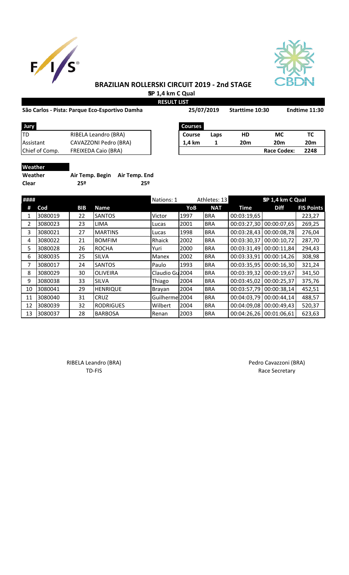



# **BRAZILIAN ROLLERSKI CIRCUIT 2019 - 2nd STAGE SP 1,4 km C Qual**

**RESULT LIST**

## São Carlos - Pista: Parque Eco-Esportivo Damha **Sandia 25/07/2019** Starttime 10:30 Endtime 11:30

| São Carlos - Pista: Parque Eco-Esportivo Damha |                            | 25/07/2019     |      | Starttime 10:30 |                    | Endtime 11:30 |
|------------------------------------------------|----------------------------|----------------|------|-----------------|--------------------|---------------|
| <b>Jury</b>                                    |                            | <b>Courses</b> |      |                 |                    |               |
| TD                                             | RIBELA Leandro (BRA)       | <b>Course</b>  | Laps | HD              | <b>MC</b>          | тс            |
| Assistant                                      | CAVAZZONI Pedro (BRA)      | 1.4 km         |      | <b>20m</b>      | 20 <sub>m</sub>    | <b>20m</b>    |
| Chief of Comp.                                 | <b>FREIXEDA Caio (BRA)</b> |                |      |                 | <b>Race Codex:</b> | 2248          |
|                                                |                            |                |      |                 |                    |               |

| <b>JULY</b>    |                            |
|----------------|----------------------------|
| ITD            | RIBELA Leandro (BRA)       |
| Assistant      | CAVAZZONI Pedro (BRA)      |
| Chief of Comp. | <b>FREIXEDA Caio (BRA)</b> |
|                |                            |

# **Weather**

| Weather | Air Temp. Begin Air Temp. End |     |
|---------|-------------------------------|-----|
| Clear   | 25º                           | 25º |

| #### |         |            |                  | Nations: 1      |      | Athletes: 13 |             | SP 1,4 km C Qual |                   |
|------|---------|------------|------------------|-----------------|------|--------------|-------------|------------------|-------------------|
| #    | Cod     | <b>BIB</b> | Name             |                 | YoB  | <b>NAT</b>   | Time        | <b>Diff</b>      | <b>FIS Points</b> |
| 1    | 3080019 | 22         | <b>SANTOS</b>    | Victor          | 1997 | <b>BRA</b>   | 00:03:19,65 |                  | 223,27            |
| 2    | 3080023 | 23         | <b>LIMA</b>      | Lucas           | 2001 | <b>BRA</b>   | 00:03:27,30 | 00:00:07,65      | 269,25            |
| 3    | 3080021 | 27         | <b>MARTINS</b>   | Lucas           | 1998 | <b>BRA</b>   | 00:03:28,43 | 00:00:08,78      | 276,04            |
| 4    | 3080022 | 21         | <b>BOMFIM</b>    | Rhaick          | 2002 | <b>BRA</b>   | 00:03:30,37 | 00:00:10,72      | 287,70            |
| 5.   | 3080028 | 26         | <b>ROCHA</b>     | Yuri            | 2000 | <b>BRA</b>   | 00:03:31,49 | 00:00:11,84      | 294,43            |
| 6    | 3080035 | 25         | <b>SILVA</b>     | Manex           | 2002 | <b>BRA</b>   | 00:03:33,91 | 00:00:14,26      | 308,98            |
| 7    | 3080017 | 24         | <b>SANTOS</b>    | Paulo           | 1993 | <b>BRA</b>   | 00:03:35,95 | 00:00:16,30      | 321,24            |
| 8    | 3080029 | 30         | <b>OLIVEIRA</b>  | Claudio Gu 2004 |      | <b>BRA</b>   | 00:03:39,32 | 00:00:19,67      | 341,50            |
| 9    | 3080038 | 33         | <b>SILVA</b>     | Thiago          | 2004 | <b>BRA</b>   | 00:03:45,02 | 00:00:25,37      | 375,76            |
| 10   | 3080041 | 29         | <b>HENRIQUE</b>  | Brayan          | 2004 | <b>BRA</b>   | 00:03:57,79 | 00:00:38,14      | 452,51            |
| 11   | 3080040 | 31         | <b>CRUZ</b>      | Guilherme 2004  |      | <b>BRA</b>   | 00:04:03,79 | 00:00:44,14      | 488,57            |
| 12   | 3080039 | 32         | <b>RODRIGUES</b> | Wilbert         | 2004 | <b>BRA</b>   | 00:04:09,08 | 00:00:49,43      | 520,37            |
| 13   | 3080037 | 28         | <b>BARBOSA</b>   | Renan           | 2003 | <b>BRA</b>   | 00:04:26,26 | 00:01:06,61      | 623,63            |

RIBELA Leandro (BRA) **Pedro Cavazzoni** (BRA) TD-FIS Race Secretary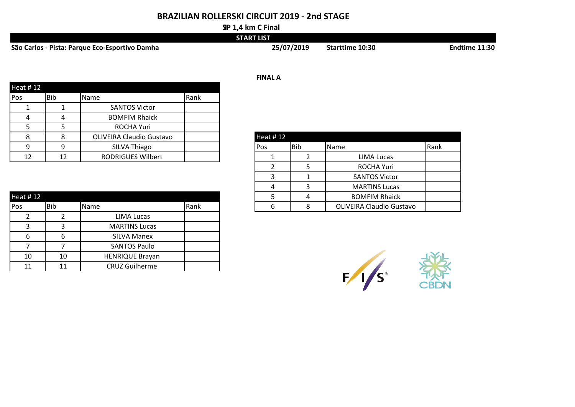## **BRAZILIAN ROLLERSKI CIRCUIT 2019 - 2nd STAGE**

#### **SP 1,4 km C Final**

|                                                | <b>START LIST</b> |                        |                      |
|------------------------------------------------|-------------------|------------------------|----------------------|
| São Carlos - Pista: Parque Eco-Esportivo Damha | 25/07/2019        | <b>Starttime 10:30</b> | <b>Endtime 11:30</b> |

|                 |     |                                 |      | <b>FINAL A</b>  |            |                   |      |
|-----------------|-----|---------------------------------|------|-----------------|------------|-------------------|------|
| <b>Heat #12</b> |     |                                 |      |                 |            |                   |      |
| <b>Pos</b>      | Bib | Name                            | Rank |                 |            |                   |      |
|                 |     | <b>SANTOS Victor</b>            |      |                 |            |                   |      |
|                 |     | <b>BOMFIM Rhaick</b>            |      |                 |            |                   |      |
|                 |     | <b>ROCHA Yuri</b>               |      |                 |            |                   |      |
| o               |     | <b>OLIVEIRA Claudio Gustavo</b> |      | <b>Heat #12</b> |            |                   |      |
| $\Omega$        |     | SILVA Thiago                    |      | <b>Pos</b>      | <b>Bib</b> | Name              | Rank |
| 12              | 12  | <b>RODRIGUES Wilbert</b>        |      |                 |            | <b>LIMA Lucas</b> |      |

| Heat #12 |     |                        |      |
|----------|-----|------------------------|------|
| Pos      | Bib | Name                   | Rank |
|          |     | <b>LIMA Lucas</b>      |      |
| 3        | ว   | <b>MARTINS Lucas</b>   |      |
| 6        | 6   | <b>SILVA Manex</b>     |      |
|          |     | <b>SANTOS Paulo</b>    |      |
| 10       | 10  | <b>HENRIQUE Brayan</b> |      |
| 11       |     | <b>CRUZ Guilherme</b>  |      |

# 2 5 ROCHA Yuri 3 1 SANTOS Victor 4 3 MARTINS Lucas 5 4 | BOMFIM Rhaick 6 8 | 8 | OLIVEIRA Claudio Gustavo

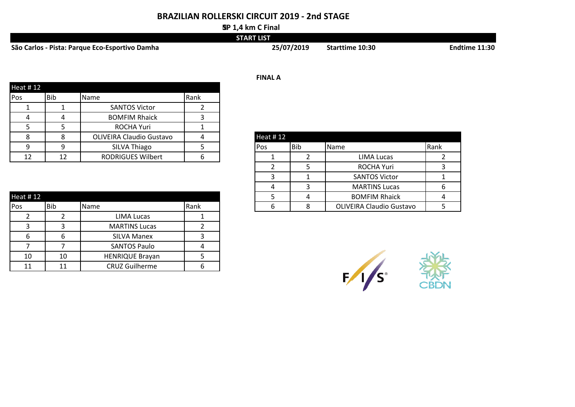## **BRAZILIAN ROLLERSKI CIRCUIT 2019 - 2nd STAGE**

#### **SP 1,4 km C Final**

|                                                | <b>START LIST</b> |                        |               |
|------------------------------------------------|-------------------|------------------------|---------------|
| São Carlos - Pista: Parque Eco-Esportivo Damha | 25/07/2019        | <b>Starttime 10:30</b> | Endtime 11:30 |

|          |     |                                 |      | <b>FINAL A</b> |
|----------|-----|---------------------------------|------|----------------|
| Heat #12 |     |                                 |      |                |
| Pos      | Bib | Name                            | Rank |                |
|          |     | <b>SANTOS Victor</b>            |      |                |
|          |     | <b>BOMFIM Rhaick</b>            |      |                |
|          | 5   | <b>ROCHA Yuri</b>               |      |                |
|          | 8   | <b>OLIVEIRA Claudio Gustavo</b> |      | Heat #12       |
| q        | 9   | SILVA Thiago                    |      | Pos            |
| 12       | 12  | <b>RODRIGUES Wilbert</b>        |      |                |

| Heat #12 |     |                        |      |
|----------|-----|------------------------|------|
| Pos      | Bib | Name                   | Rank |
|          |     | <b>LIMA Lucas</b>      |      |
| 3        | з   | <b>MARTINS Lucas</b>   |      |
| 6        |     | <b>SILVA Manex</b>     |      |
|          |     | <b>SANTOS Paulo</b>    |      |
| 10       | 10  | <b>HENRIQUE Brayan</b> |      |
| 11       |     | <b>CRUZ Guilherme</b>  |      |

# 9 | 9 | SILVA Thiago | 5 | Pos |Bib |Name | Rank 12 | 12 | RODRIGUES Wilbert | 6 | | 1 | 2 | LIMA Lucas | 2 2 5 ROCHA Yuri 3 3 1 1 SANTOS Victor 1 1 4 3 | MARTINS Lucas | 6 5 4 BOMFIM Rhaick 4 6 8 OLIVEIRA Claudio Gustavo 5